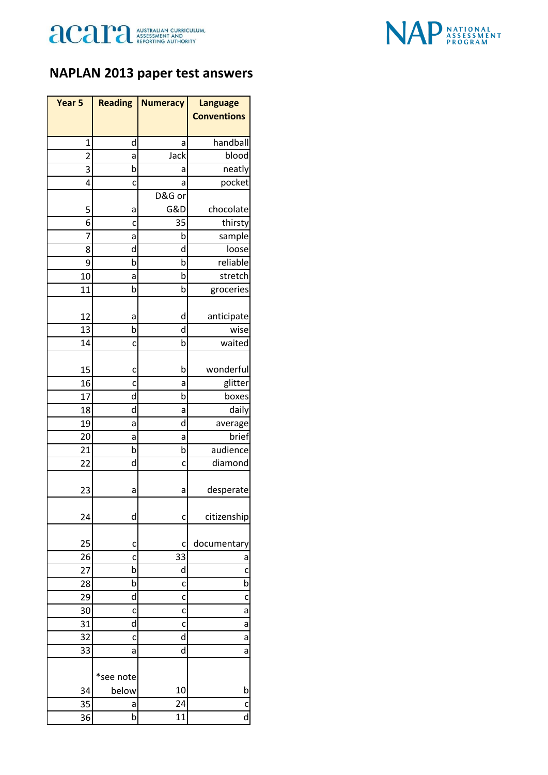



## **NAPLAN 2013 paper test answers**

| Year 5         | <b>Reading</b> | <b>Numeracy</b> | <b>Language</b>         |
|----------------|----------------|-----------------|-------------------------|
|                |                |                 | <b>Conventions</b>      |
| 1              | d              | a               | handball                |
| $\overline{2}$ | a              | Jack            | blood                   |
| 3              | b              | а               | neatly                  |
| 4              | c              | a               | pocket                  |
|                |                | D&G or          |                         |
| 5              | а              | G&D             | chocolate               |
| 6              | c              | 35              | thirsty                 |
| 7              | а              | b               | sample                  |
| 8              | d              | d               | loose                   |
| 9              | b              | b               | reliable                |
| 10             | a              | b               | stretch                 |
| 11             | b              | b               | groceries               |
| 12             | a              | d               | anticipate              |
| 13             | b              | d               | wise                    |
| 14             | c              | b               | waited                  |
| 15             | c              | b               | wonderful               |
| 16             | c              | а               | glitter                 |
| 17             | d              | b               | boxes                   |
| 18             | d              | a               | daily                   |
| 19             | а              | d               | average                 |
| 20             | а              | a               | brief                   |
| 21             | b              | b               | audience                |
| 22             | d              | c               | diamond                 |
|                |                |                 |                         |
| 23             | а              | а               | desperate               |
| 24             | d              | c               | citizenship             |
| 25             | c              | c               | documentary             |
| 26             | c              | 33              | a                       |
| 27             | b              | d               | C                       |
| 28             | b              | c               | b                       |
| 29             | d              | c               | c                       |
| 30             | c              | c               | a                       |
| 31             | d              | c               | a                       |
| 32             | c              | d               | a                       |
| 33             | a              | d               | a                       |
|                | *see note      |                 |                         |
| 34             | below          | 10              | b                       |
| 35             | а              | 24              | $\mathsf{C}$            |
| 36             | b              | 11              | $\overline{\mathsf{d}}$ |